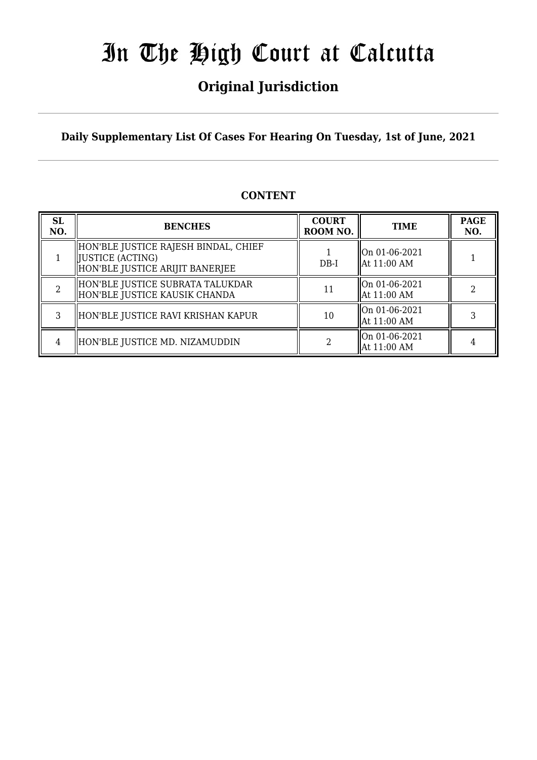## **Original Jurisdiction**

**Daily Supplementary List Of Cases For Hearing On Tuesday, 1st of June, 2021**

### **CONTENT**

| <b>SL</b><br>NO. | <b>BENCHES</b>                                                                               | <b>COURT</b><br>ROOM NO. | <b>TIME</b>                                          | <b>PAGE</b><br>NO. |
|------------------|----------------------------------------------------------------------------------------------|--------------------------|------------------------------------------------------|--------------------|
|                  | HON'BLE JUSTICE RAJESH BINDAL, CHIEF<br> JUSTICE (ACTING)<br>HON'BLE JUSTICE ARIJIT BANERJEE | $DB-I$                   | $\parallel$ On 01-06-2021<br>$\parallel$ At 11:00 AM |                    |
|                  | HON'BLE JUSTICE SUBRATA TALUKDAR<br>HON'BLE JUSTICE KAUSIK CHANDA                            |                          | On 01-06-2021<br>  At 11:00 AM                       |                    |
| 3                | HON'BLE JUSTICE RAVI KRISHAN KAPUR                                                           | 10                       | $\left\vert$ On 01-06-2021<br>  At 11:00 AM          |                    |
| 4                | HON'BLE JUSTICE MD. NIZAMUDDIN                                                               |                          | On 01-06-2021<br>$\parallel$ At 11:00 AM             |                    |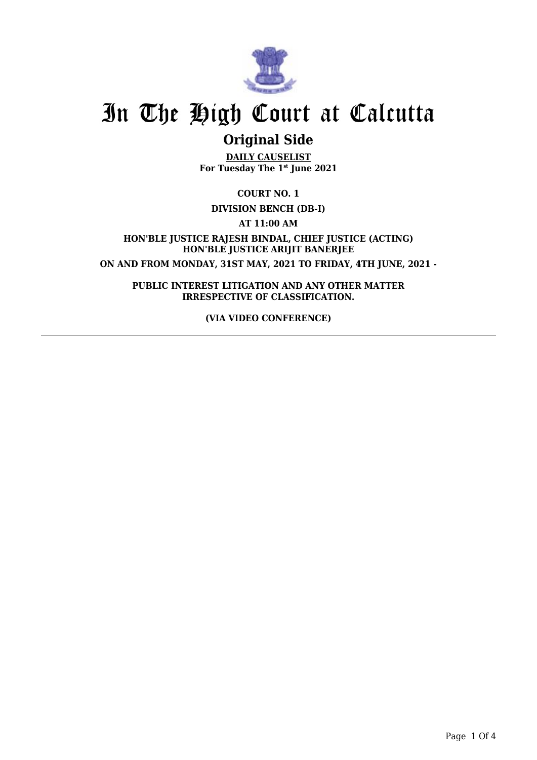

## **Original Side**

**DAILY CAUSELIST For Tuesday The 1st June 2021**

**COURT NO. 1**

**DIVISION BENCH (DB-I)**

**AT 11:00 AM**

**HON'BLE JUSTICE RAJESH BINDAL, CHIEF JUSTICE (ACTING) HON'BLE JUSTICE ARIJIT BANERJEE ON AND FROM MONDAY, 31ST MAY, 2021 TO FRIDAY, 4TH JUNE, 2021 -**

**PUBLIC INTEREST LITIGATION AND ANY OTHER MATTER IRRESPECTIVE OF CLASSIFICATION.**

**(VIA VIDEO CONFERENCE)**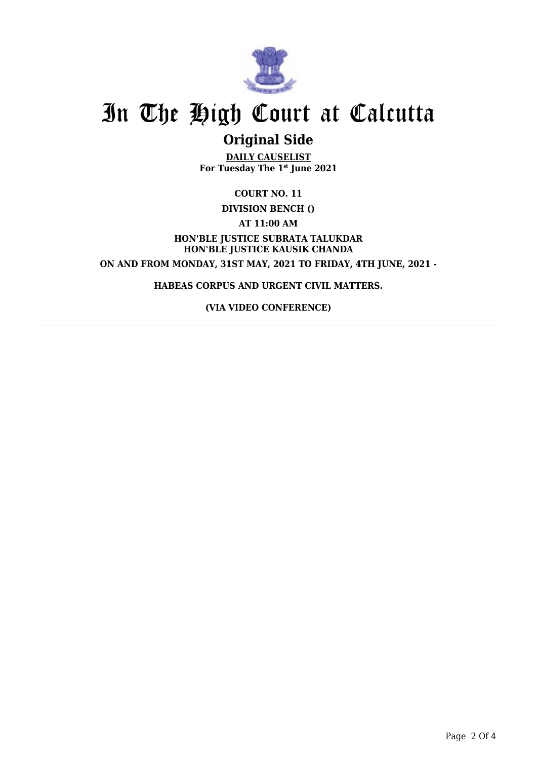

### **Original Side**

**DAILY CAUSELIST For Tuesday The 1st June 2021**

**COURT NO. 11**

**DIVISION BENCH ()**

**AT 11:00 AM**

**HON'BLE JUSTICE SUBRATA TALUKDAR HON'BLE JUSTICE KAUSIK CHANDA ON AND FROM MONDAY, 31ST MAY, 2021 TO FRIDAY, 4TH JUNE, 2021 -**

**HABEAS CORPUS AND URGENT CIVIL MATTERS.**

**(VIA VIDEO CONFERENCE)**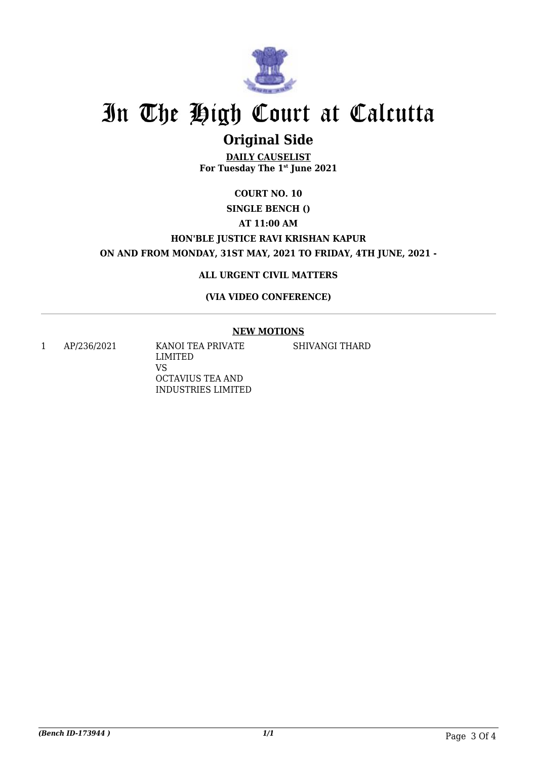

## **Original Side**

**DAILY CAUSELIST For Tuesday The 1st June 2021**

## **COURT NO. 10**

### **SINGLE BENCH ()**

**AT 11:00 AM**

### **HON'BLE JUSTICE RAVI KRISHAN KAPUR**

**ON AND FROM MONDAY, 31ST MAY, 2021 TO FRIDAY, 4TH JUNE, 2021 -**

#### **ALL URGENT CIVIL MATTERS**

#### **(VIA VIDEO CONFERENCE)**

#### **NEW MOTIONS**

SHIVANGI THARD

1 AP/236/2021 KANOI TEA PRIVATE LIMITED VS OCTAVIUS TEA AND INDUSTRIES LIMITED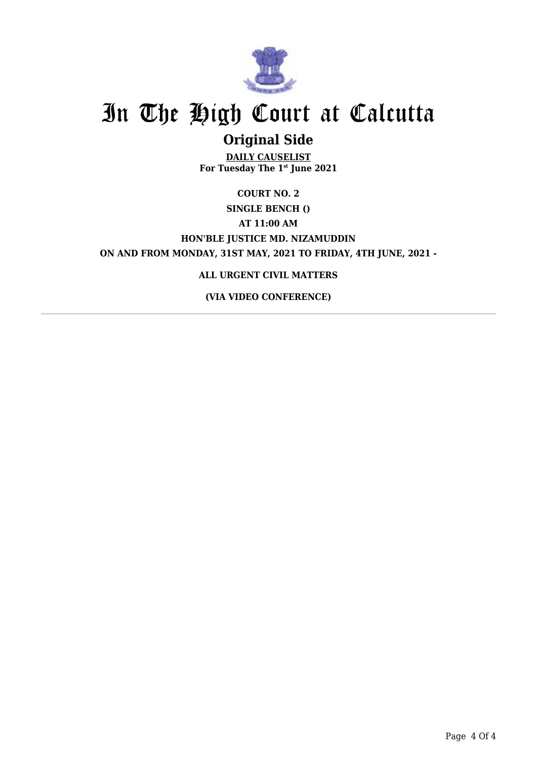

## **Original Side**

**DAILY CAUSELIST For Tuesday The 1st June 2021**

### **COURT NO. 2 SINGLE BENCH () AT 11:00 AM HON'BLE JUSTICE MD. NIZAMUDDIN ON AND FROM MONDAY, 31ST MAY, 2021 TO FRIDAY, 4TH JUNE, 2021 -**

#### **ALL URGENT CIVIL MATTERS**

**(VIA VIDEO CONFERENCE)**